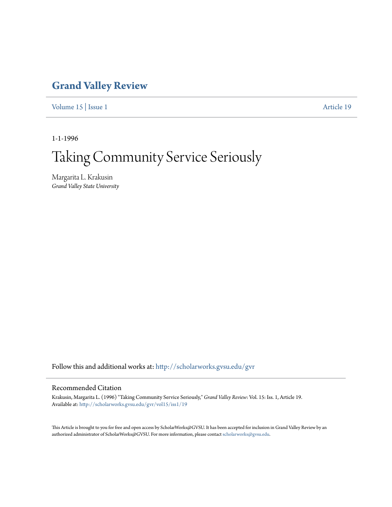## **[Grand Valley Review](http://scholarworks.gvsu.edu/gvr?utm_source=scholarworks.gvsu.edu%2Fgvr%2Fvol15%2Fiss1%2F19&utm_medium=PDF&utm_campaign=PDFCoverPages)**

[Volume 15](http://scholarworks.gvsu.edu/gvr/vol15?utm_source=scholarworks.gvsu.edu%2Fgvr%2Fvol15%2Fiss1%2F19&utm_medium=PDF&utm_campaign=PDFCoverPages) | [Issue 1](http://scholarworks.gvsu.edu/gvr/vol15/iss1?utm_source=scholarworks.gvsu.edu%2Fgvr%2Fvol15%2Fiss1%2F19&utm_medium=PDF&utm_campaign=PDFCoverPages) [Article 19](http://scholarworks.gvsu.edu/gvr/vol15/iss1/19?utm_source=scholarworks.gvsu.edu%2Fgvr%2Fvol15%2Fiss1%2F19&utm_medium=PDF&utm_campaign=PDFCoverPages)

1-1-1996

# Taking Community Service Seriously

Margarita L. Krakusin *Grand Valley State University*

Follow this and additional works at: [http://scholarworks.gvsu.edu/gvr](http://scholarworks.gvsu.edu/gvr?utm_source=scholarworks.gvsu.edu%2Fgvr%2Fvol15%2Fiss1%2F19&utm_medium=PDF&utm_campaign=PDFCoverPages)

#### Recommended Citation

Krakusin, Margarita L. (1996) "Taking Community Service Seriously," *Grand Valley Review*: Vol. 15: Iss. 1, Article 19. Available at: [http://scholarworks.gvsu.edu/gvr/vol15/iss1/19](http://scholarworks.gvsu.edu/gvr/vol15/iss1/19?utm_source=scholarworks.gvsu.edu%2Fgvr%2Fvol15%2Fiss1%2F19&utm_medium=PDF&utm_campaign=PDFCoverPages)

This Article is brought to you for free and open access by ScholarWorks@GVSU. It has been accepted for inclusion in Grand Valley Review by an authorized administrator of ScholarWorks@GVSU. For more information, please contact [scholarworks@gvsu.edu.](mailto:scholarworks@gvsu.edu)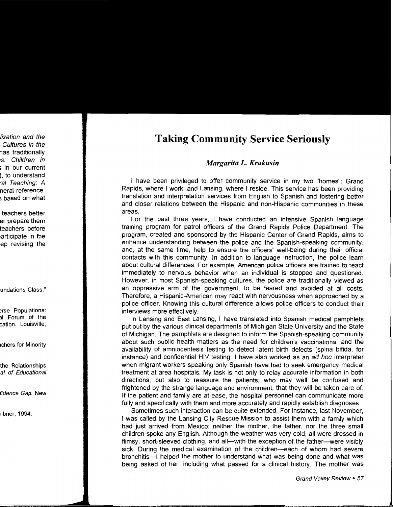### **Taking Community Service Seriously**

#### *Margarita L. Krakusin*

I have been privileged to offer community service in my two "homes": Grand Rapids, where I work; and Lansing, where I reside. This service has been providing translation and interpretation services from English to Spanish and fostering better and closer relations between the Hispanic and non-Hispanic communities in these areas.

For the past three years, I have conducted an intensive Spanish language training program for patrol officers of the Grand Rapids Police Department. The program, created and sponsored by the Hispanic Center of Grand Rapids, aims to enhance understanding between the police and the Spanish-speaking community, and, at the same time, help to ensure the officers' well-being during their official contacts with this community. In addition to language instruction, the police learn about cultural differences. For example, American police officers are trained to react immediately to nervous behavior when an individual is stopped and questioned. However, in most Spanish-speaking cultures, the police are traditionally viewed as an oppressive arm of the government, to be feared and avoided at all costs. Therefore, a Hispanic-American may react with nervousness when approached by a police officer. Knowing this cultural difference allows police officers to conduct their interviews more effectively.

In Lansing and East Lansing, I have translated into Spanish medical pamphlets put out by the various clinical departments of Michigan State University and the State of Michigan. The pamphlets are designed to inform the Spanish-speaking community about such public health matters as the need for children's vaccinations, and the availability of amniocentesis testing to detect latent birth defects (spina bifida, for instance) and confidential HIV testing. I have also worked as an ad hoc interpreter when migrant workers speaking only Spanish have had to seek emergency medical treatment at area hospitals. My task is not only to relay accurate information in both directions, but also to reassure the patients, who may well be confused and frightened by the strange language and environment, that they will be taken care of. If the patient and family are at ease, the hospital personnel can communicate more fully and specifically with them and more accurately and rapidly establish diagnoses.

Sometimes such interaction can be quite extended. For instance, last November, I was called by the Lansing City Rescue Mission to assist them with a family which had just arrived from Mexico; neither the mother, the father, nor the three small children spoke any English. Although the weather was very cold, all were dressed in flimsy, short-sleeved clothing, and all—with the exception of the father—were visibly sick. During the medical examination of the children-each of whom had severe bronchitis--I helped the mother to understand what was being done and what was being asked of her, including what passed for a clinical history. The mother was